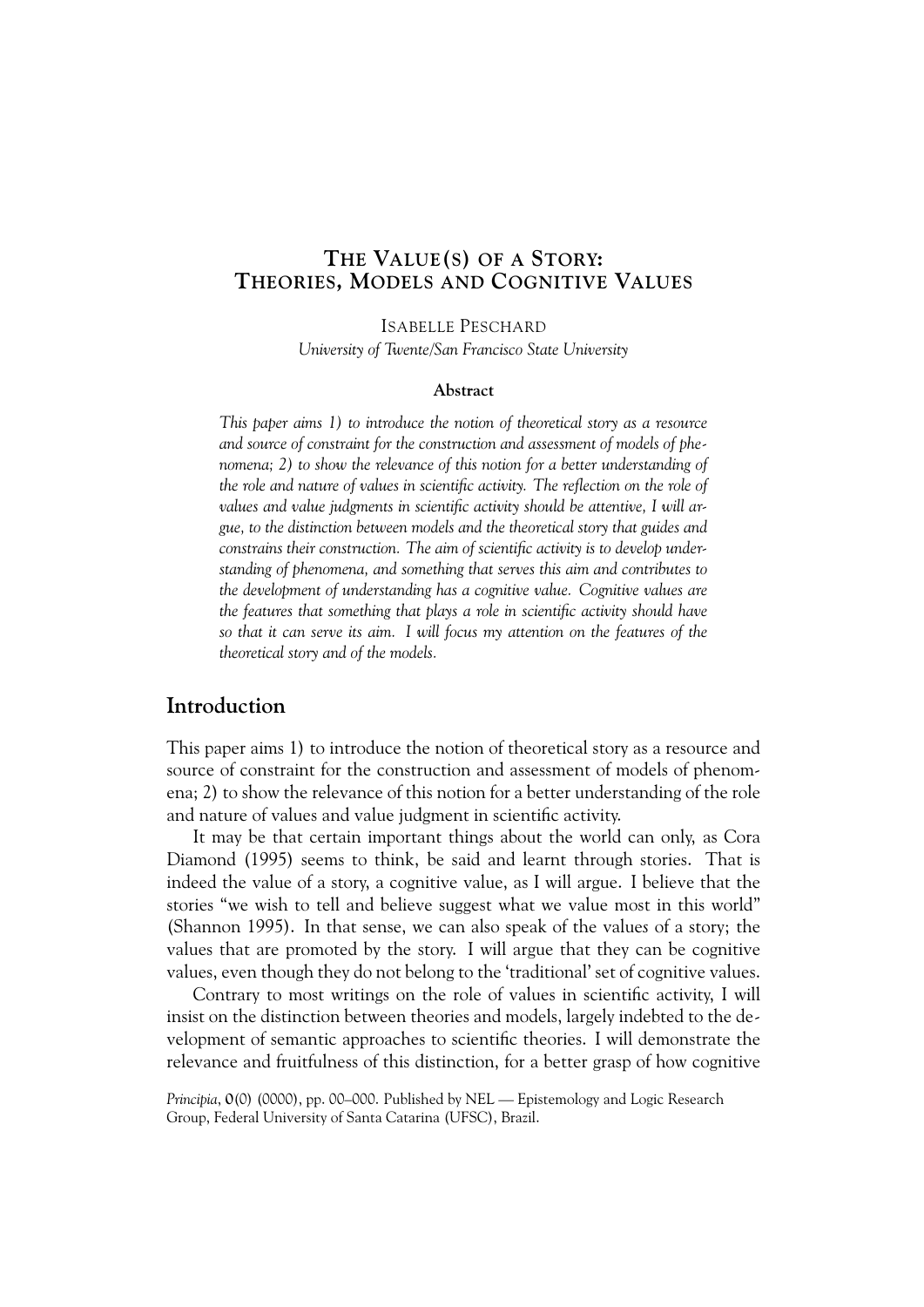# **THE VALUE(S) OF A STORY: THEORIES, MODELS AND COGNITIVE VALUES**

ISABELLE PESCHARD

*University of Twente/San Francisco State University*

#### **Abstract**

*This paper aims 1) to introduce the notion of theoretical story as a resource and source of constraint for the construction and assessment of models of phenomena; 2) to show the relevance of this notion for a better understanding of the role and nature of values in scientific activity. The reflection on the role of values and value judgments in scientific activity should be attentive, I will argue, to the distinction between models and the theoretical story that guides and constrains their construction. The aim of scientific activity is to develop understanding of phenomena, and something that serves this aim and contributes to the development of understanding has a cognitive value. Cognitive values are the features that something that plays a role in scientific activity should have so that it can serve its aim. I will focus my attention on the features of the theoretical story and of the models.*

# **Introduction**

This paper aims 1) to introduce the notion of theoretical story as a resource and source of constraint for the construction and assessment of models of phenomena; 2) to show the relevance of this notion for a better understanding of the role and nature of values and value judgment in scientific activity.

It may be that certain important things about the world can only, as Cora Diamond (1995) seems to think, be said and learnt through stories. That is indeed the value of a story, a cognitive value, as I will argue. I believe that the stories "we wish to tell and believe suggest what we value most in this world" (Shannon 1995). In that sense, we can also speak of the value*s* of a story; the values that are promoted by the story. I will argue that they can be cognitive values, even though they do not belong to the 'traditional' set of cognitive values.

Contrary to most writings on the role of values in scientific activity, I will insist on the distinction between theories and models, largely indebted to the development of semantic approaches to scientific theories. I will demonstrate the relevance and fruitfulness of this distinction, for a better grasp of how cognitive

*Principia*, **0**(0) (0000), pp. 00–000. Published by NEL — Epistemology and Logic Research Group, Federal University of Santa Catarina (UFSC), Brazil.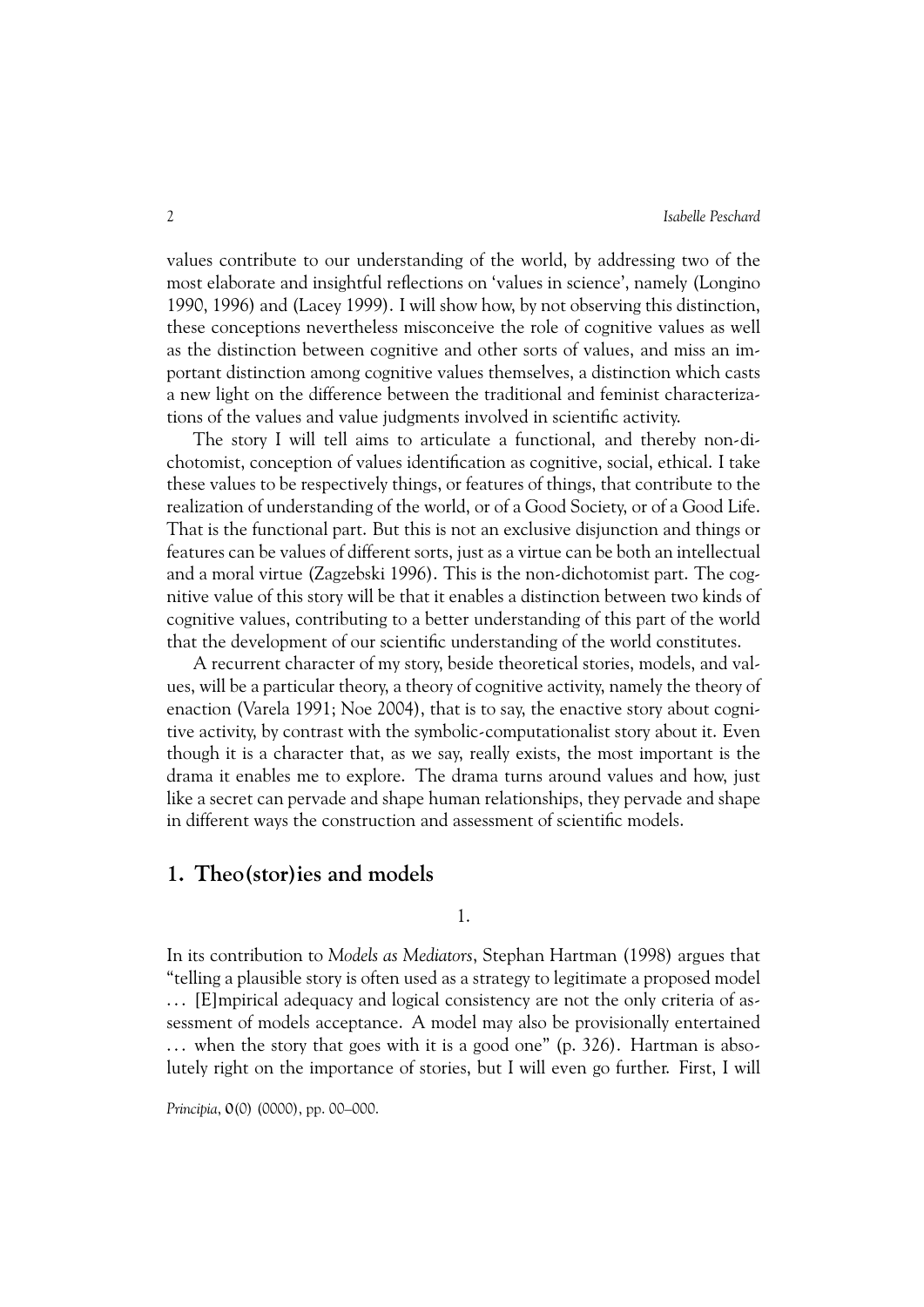values contribute to our understanding of the world, by addressing two of the most elaborate and insightful reflections on 'values in science', namely (Longino 1990, 1996) and (Lacey 1999). I will show how, by not observing this distinction, these conceptions nevertheless misconceive the role of cognitive values as well as the distinction between cognitive and other sorts of values, and miss an important distinction among cognitive values themselves, a distinction which casts a new light on the difference between the traditional and feminist characterizations of the values and value judgments involved in scientific activity.

The story I will tell aims to articulate a functional, and thereby non-dichotomist, conception of values identification as cognitive, social, ethical. I take these values to be respectively things, or features of things, that contribute to the realization of understanding of the world, or of a Good Society, or of a Good Life. That is the functional part. But this is not an exclusive disjunction and things or features can be values of different sorts, just as a virtue can be both an intellectual and a moral virtue (Zagzebski 1996). This is the non-dichotomist part. The cognitive value of this story will be that it enables a distinction between two kinds of cognitive values, contributing to a better understanding of this part of the world that the development of our scientific understanding of the world constitutes.

A recurrent character of my story, beside theoretical stories, models, and values, will be a particular theory, a theory of cognitive activity, namely the theory of enaction (Varela 1991; Noe 2004), that is to say, the enactive story about cognitive activity, by contrast with the symbolic-computationalist story about it. Even though it is a character that, as we say, really exists, the most important is the drama it enables me to explore. The drama turns around values and how, just like a secret can pervade and shape human relationships, they pervade and shape in different ways the construction and assessment of scientific models.

### **1. Theo(stor)ies and models**

1.

In its contribution to *Models as Mediators*, Stephan Hartman (1998) argues that "telling a plausible story is often used as a strategy to legitimate a proposed model . . . [E]mpirical adequacy and logical consistency are not the only criteria of assessment of models acceptance. A model may also be provisionally entertained ... when the story that goes with it is a good one" (p. 326). Hartman is absolutely right on the importance of stories, but I will even go further. First, I will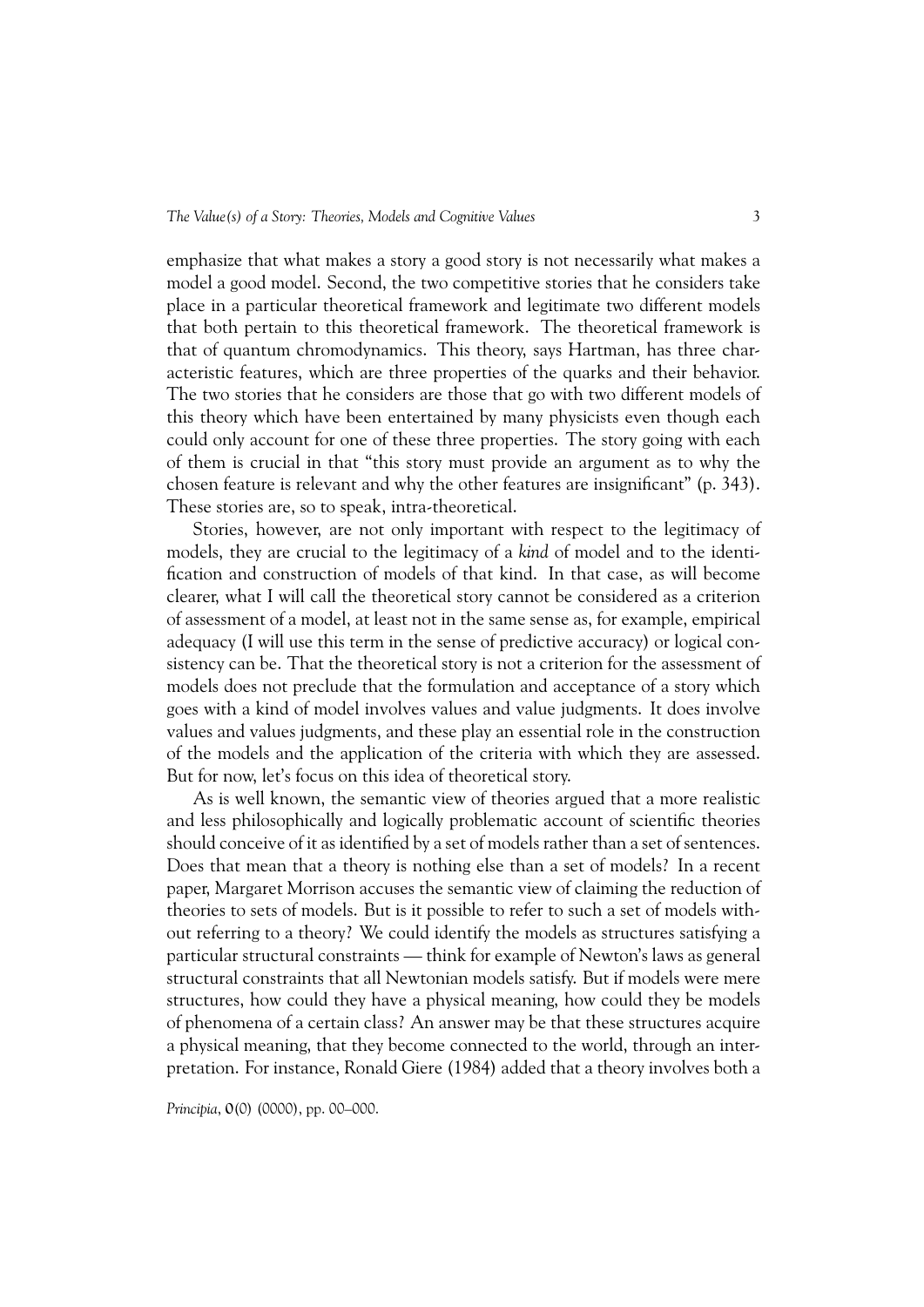emphasize that what makes a story a good story is not necessarily what makes a model a good model. Second, the two competitive stories that he considers take place in a particular theoretical framework and legitimate two different models that both pertain to this theoretical framework. The theoretical framework is that of quantum chromodynamics. This theory, says Hartman, has three characteristic features, which are three properties of the quarks and their behavior. The two stories that he considers are those that go with two different models of this theory which have been entertained by many physicists even though each could only account for one of these three properties. The story going with each of them is crucial in that "this story must provide an argument as to why the chosen feature is relevant and why the other features are insignificant" (p. 343). These stories are, so to speak, intra-theoretical.

Stories, however, are not only important with respect to the legitimacy of models, they are crucial to the legitimacy of a *kind* of model and to the identification and construction of models of that kind. In that case, as will become clearer, what I will call the theoretical story cannot be considered as a criterion of assessment of a model, at least not in the same sense as, for example, empirical adequacy (I will use this term in the sense of predictive accuracy) or logical consistency can be. That the theoretical story is not a criterion for the assessment of models does not preclude that the formulation and acceptance of a story which goes with a kind of model involves values and value judgments. It does involve values and values judgments, and these play an essential role in the construction of the models and the application of the criteria with which they are assessed. But for now, let's focus on this idea of theoretical story.

As is well known, the semantic view of theories argued that a more realistic and less philosophically and logically problematic account of scientific theories should conceive of it as identified by a set of models rather than a set of sentences. Does that mean that a theory is nothing else than a set of models? In a recent paper, Margaret Morrison accuses the semantic view of claiming the reduction of theories to sets of models. But is it possible to refer to such a set of models without referring to a theory? We could identify the models as structures satisfying a particular structural constraints — think for example of Newton's laws as general structural constraints that all Newtonian models satisfy. But if models were mere structures, how could they have a physical meaning, how could they be models of phenomena of a certain class? An answer may be that these structures acquire a physical meaning, that they become connected to the world, through an interpretation. For instance, Ronald Giere (1984) added that a theory involves both a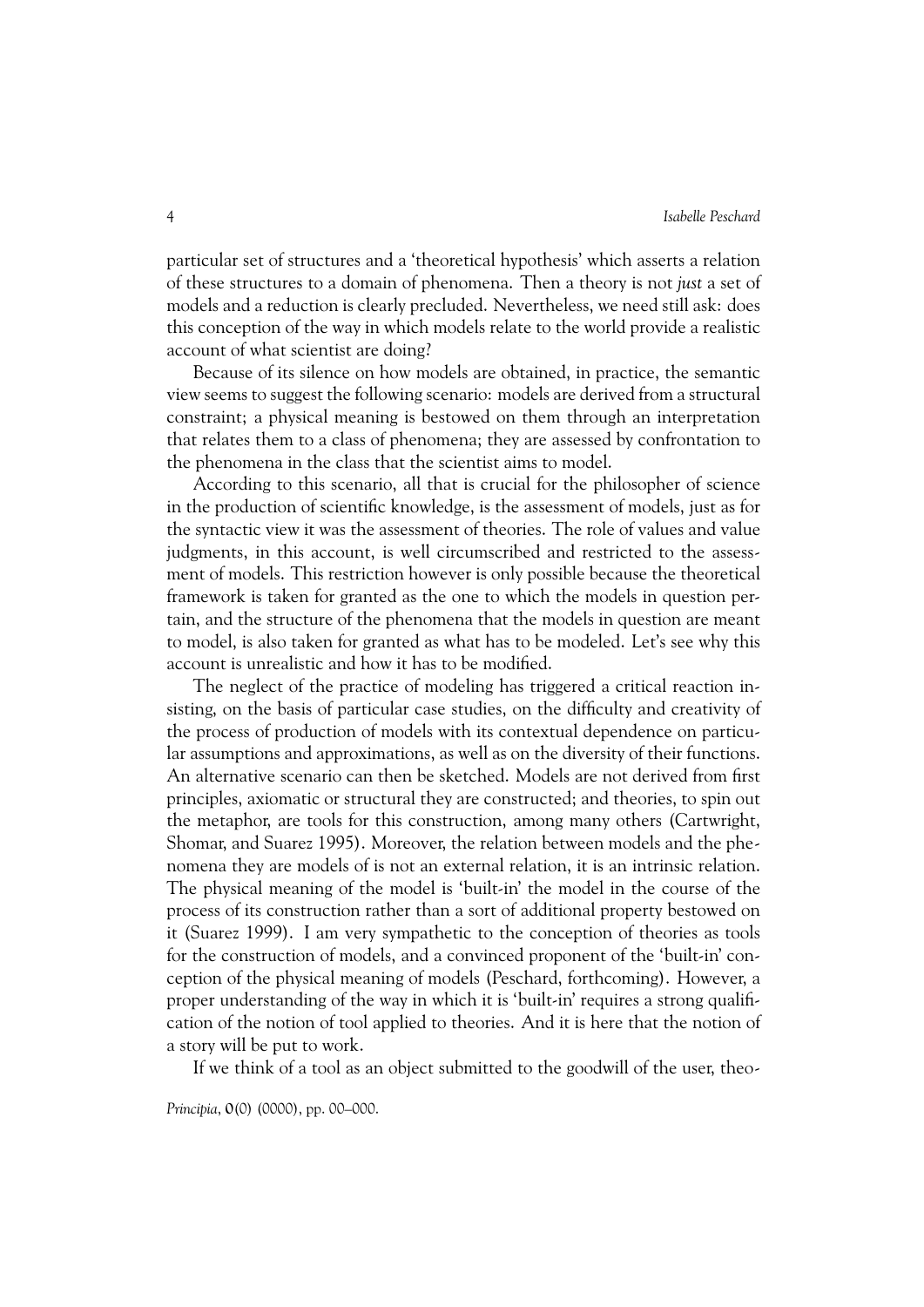particular set of structures and a 'theoretical hypothesis' which asserts a relation of these structures to a domain of phenomena. Then a theory is not *just* a set of models and a reduction is clearly precluded. Nevertheless, we need still ask: does this conception of the way in which models relate to the world provide a realistic account of what scientist are doing?

Because of its silence on how models are obtained, in practice, the semantic view seems to suggest the following scenario: models are derived from a structural constraint; a physical meaning is bestowed on them through an interpretation that relates them to a class of phenomena; they are assessed by confrontation to the phenomena in the class that the scientist aims to model.

According to this scenario, all that is crucial for the philosopher of science in the production of scientific knowledge, is the assessment of models, just as for the syntactic view it was the assessment of theories. The role of values and value judgments, in this account, is well circumscribed and restricted to the assessment of models. This restriction however is only possible because the theoretical framework is taken for granted as the one to which the models in question pertain, and the structure of the phenomena that the models in question are meant to model, is also taken for granted as what has to be modeled. Let's see why this account is unrealistic and how it has to be modified.

The neglect of the practice of modeling has triggered a critical reaction insisting, on the basis of particular case studies, on the difficulty and creativity of the process of production of models with its contextual dependence on particular assumptions and approximations, as well as on the diversity of their functions. An alternative scenario can then be sketched. Models are not derived from first principles, axiomatic or structural they are constructed; and theories, to spin out the metaphor, are tools for this construction, among many others (Cartwright, Shomar, and Suarez 1995). Moreover, the relation between models and the phenomena they are models of is not an external relation, it is an intrinsic relation. The physical meaning of the model is 'built-in' the model in the course of the process of its construction rather than a sort of additional property bestowed on it (Suarez 1999). I am very sympathetic to the conception of theories as tools for the construction of models, and a convinced proponent of the 'built-in' conception of the physical meaning of models (Peschard, forthcoming). However, a proper understanding of the way in which it is 'built-in' requires a strong qualification of the notion of tool applied to theories. And it is here that the notion of a story will be put to work.

If we think of a tool as an object submitted to the goodwill of the user, theo-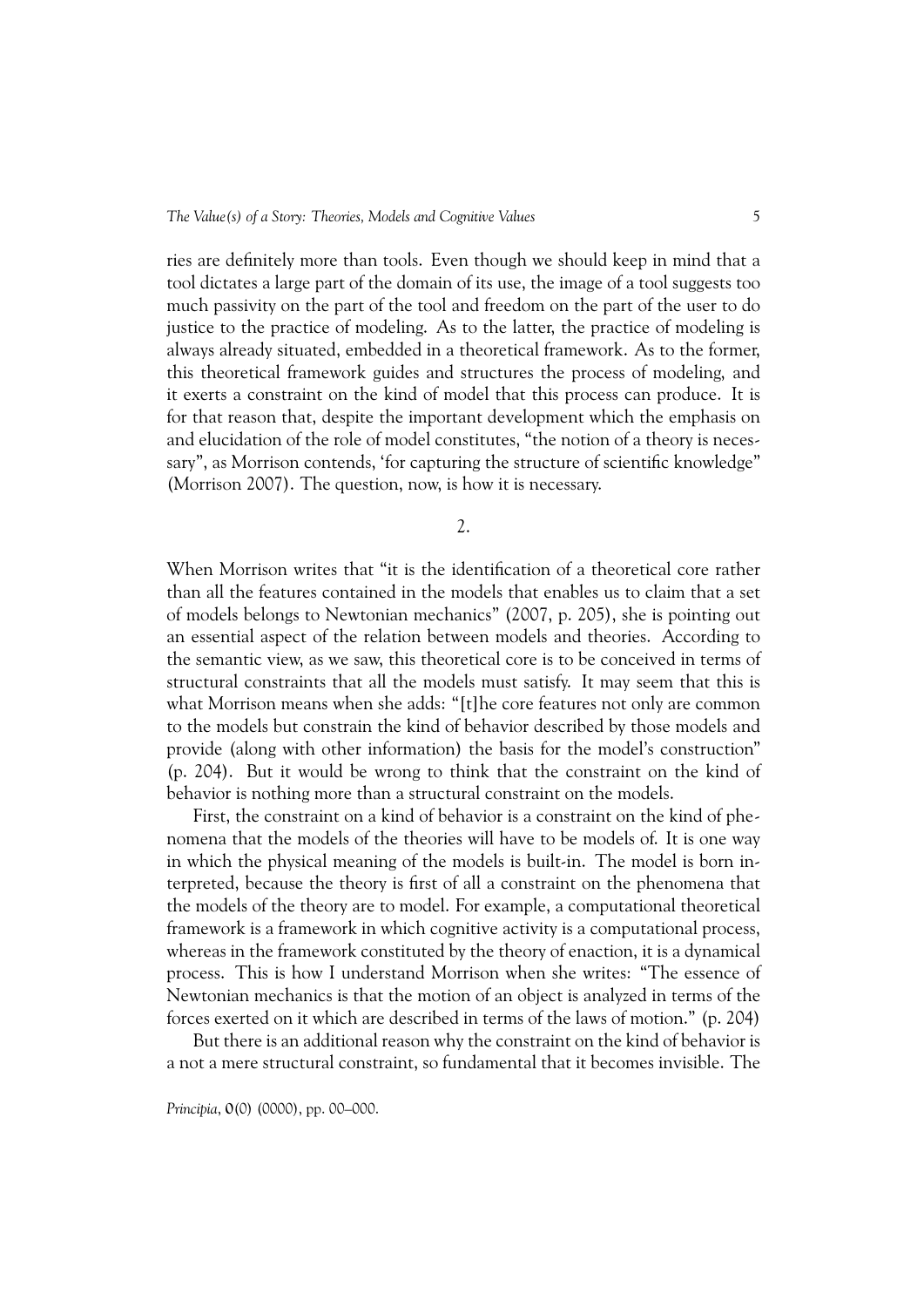ries are definitely more than tools. Even though we should keep in mind that a tool dictates a large part of the domain of its use, the image of a tool suggests too much passivity on the part of the tool and freedom on the part of the user to do justice to the practice of modeling. As to the latter, the practice of modeling is always already situated, embedded in a theoretical framework. As to the former, this theoretical framework guides and structures the process of modeling, and it exerts a constraint on the kind of model that this process can produce. It is for that reason that, despite the important development which the emphasis on and elucidation of the role of model constitutes, "the notion of a theory is necessary", as Morrison contends, 'for capturing the structure of scientific knowledge" (Morrison 2007). The question, now, is how it is necessary.

2.

When Morrison writes that "it is the identification of a theoretical core rather than all the features contained in the models that enables us to claim that a set of models belongs to Newtonian mechanics" (2007, p. 205), she is pointing out an essential aspect of the relation between models and theories. According to the semantic view, as we saw, this theoretical core is to be conceived in terms of structural constraints that all the models must satisfy. It may seem that this is what Morrison means when she adds: "[t]he core features not only are common to the models but constrain the kind of behavior described by those models and provide (along with other information) the basis for the model's construction" (p. 204). But it would be wrong to think that the constraint on the kind of behavior is nothing more than a structural constraint on the models.

First, the constraint on a kind of behavior is a constraint on the kind of phenomena that the models of the theories will have to be models of. It is one way in which the physical meaning of the models is built-in. The model is born interpreted, because the theory is first of all a constraint on the phenomena that the models of the theory are to model. For example, a computational theoretical framework is a framework in which cognitive activity is a computational process, whereas in the framework constituted by the theory of enaction, it is a dynamical process. This is how I understand Morrison when she writes: "The essence of Newtonian mechanics is that the motion of an object is analyzed in terms of the forces exerted on it which are described in terms of the laws of motion." (p. 204)

But there is an additional reason why the constraint on the kind of behavior is a not a mere structural constraint, so fundamental that it becomes invisible. The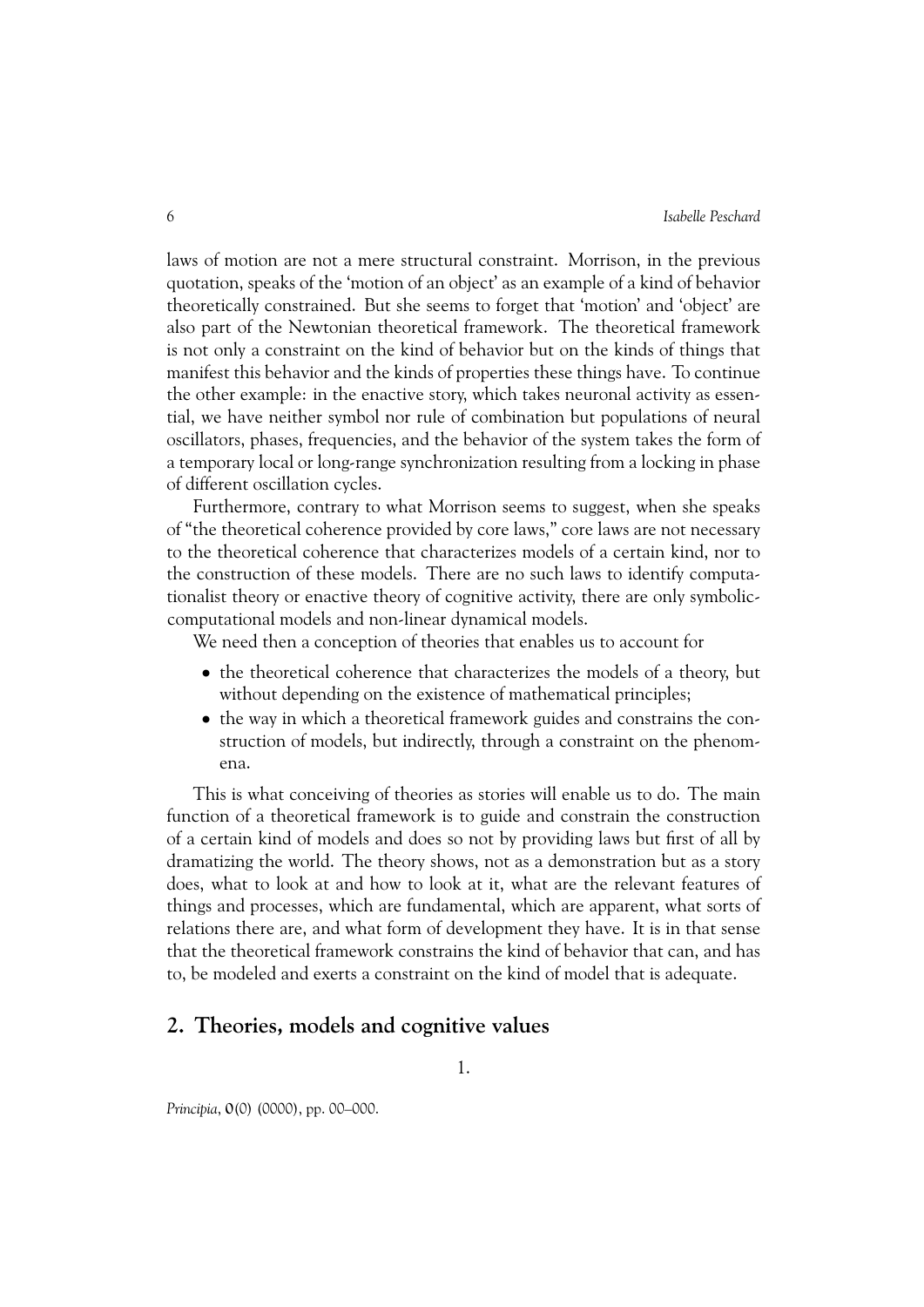laws of motion are not a mere structural constraint. Morrison, in the previous quotation, speaks of the 'motion of an object' as an example of a kind of behavior theoretically constrained. But she seems to forget that 'motion' and 'object' are also part of the Newtonian theoretical framework. The theoretical framework is not only a constraint on the kind of behavior but on the kinds of things that manifest this behavior and the kinds of properties these things have. To continue the other example: in the enactive story, which takes neuronal activity as essential, we have neither symbol nor rule of combination but populations of neural oscillators, phases, frequencies, and the behavior of the system takes the form of a temporary local or long-range synchronization resulting from a locking in phase of different oscillation cycles.

Furthermore, contrary to what Morrison seems to suggest, when she speaks of "the theoretical coherence provided by core laws," core laws are not necessary to the theoretical coherence that characterizes models of a certain kind, nor to the construction of these models. There are no such laws to identify computationalist theory or enactive theory of cognitive activity, there are only symboliccomputational models and non-linear dynamical models.

We need then a conception of theories that enables us to account for

- the theoretical coherence that characterizes the models of a theory, but without depending on the existence of mathematical principles;
- the way in which a theoretical framework guides and constrains the construction of models, but indirectly, through a constraint on the phenomena.

This is what conceiving of theories as stories will enable us to do. The main function of a theoretical framework is to guide and constrain the construction of a certain kind of models and does so not by providing laws but first of all by dramatizing the world. The theory shows, not as a demonstration but as a story does, what to look at and how to look at it, what are the relevant features of things and processes, which are fundamental, which are apparent, what sorts of relations there are, and what form of development they have. It is in that sense that the theoretical framework constrains the kind of behavior that can, and has to, be modeled and exerts a constraint on the kind of model that is adequate.

#### **2. Theories, models and cognitive values**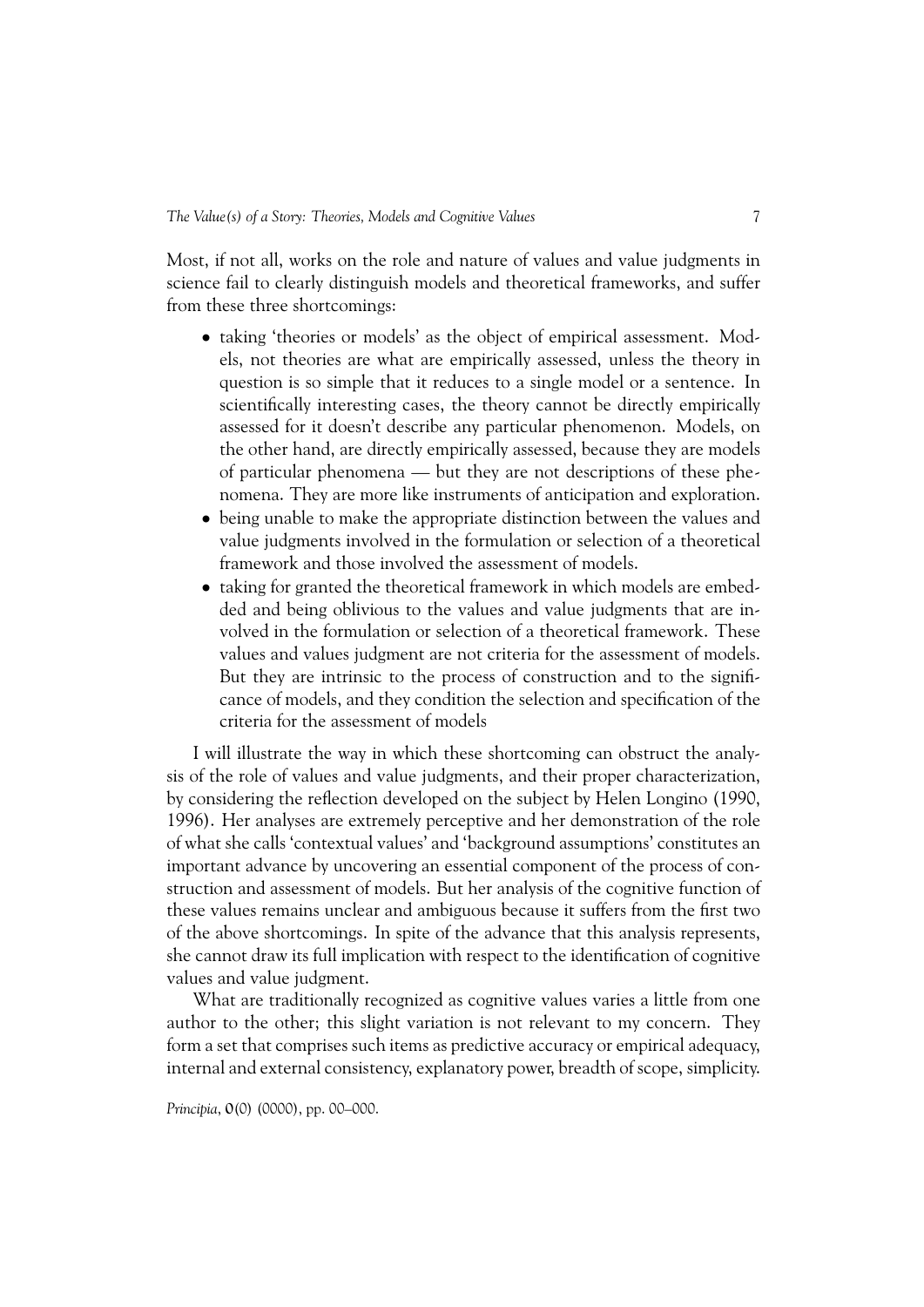Most, if not all, works on the role and nature of values and value judgments in science fail to clearly distinguish models and theoretical frameworks, and suffer from these three shortcomings:

- taking 'theories or models' as the object of empirical assessment. Models, not theories are what are empirically assessed, unless the theory in question is so simple that it reduces to a single model or a sentence. In scientifically interesting cases, the theory cannot be directly empirically assessed for it doesn't describe any particular phenomenon. Models, on the other hand, are directly empirically assessed, because they are models of particular phenomena — but they are not descriptions of these phenomena. They are more like instruments of anticipation and exploration.
- being unable to make the appropriate distinction between the values and value judgments involved in the formulation or selection of a theoretical framework and those involved the assessment of models.
- taking for granted the theoretical framework in which models are embedded and being oblivious to the values and value judgments that are involved in the formulation or selection of a theoretical framework. These values and values judgment are not criteria for the assessment of models. But they are intrinsic to the process of construction and to the significance of models, and they condition the selection and specification of the criteria for the assessment of models

I will illustrate the way in which these shortcoming can obstruct the analysis of the role of values and value judgments, and their proper characterization, by considering the reflection developed on the subject by Helen Longino (1990, 1996). Her analyses are extremely perceptive and her demonstration of the role of what she calls 'contextual values' and 'background assumptions' constitutes an important advance by uncovering an essential component of the process of construction and assessment of models. But her analysis of the cognitive function of these values remains unclear and ambiguous because it suffers from the first two of the above shortcomings. In spite of the advance that this analysis represents, she cannot draw its full implication with respect to the identification of cognitive values and value judgment.

What are traditionally recognized as cognitive values varies a little from one author to the other; this slight variation is not relevant to my concern. They form a set that comprises such items as predictive accuracy or empirical adequacy, internal and external consistency, explanatory power, breadth of scope, simplicity.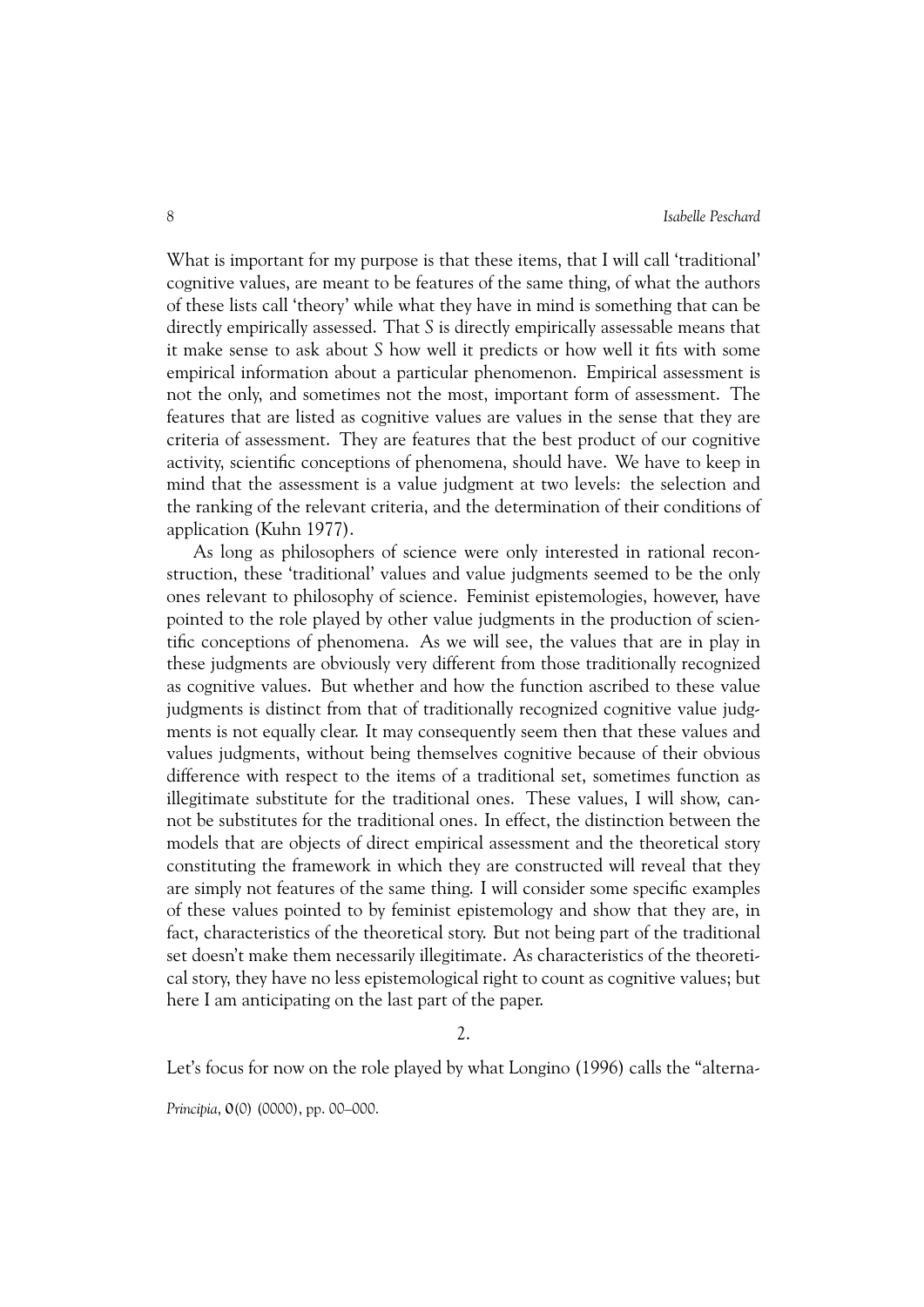What is important for my purpose is that these items, that I will call 'traditional' cognitive values, are meant to be features of the same thing, of what the authors of these lists call 'theory' while what they have in mind is something that can be directly empirically assessed. That *S* is directly empirically assessable means that it make sense to ask about *S* how well it predicts or how well it fits with some empirical information about a particular phenomenon. Empirical assessment is not the only, and sometimes not the most, important form of assessment. The features that are listed as cognitive values are values in the sense that they are criteria of assessment. They are features that the best product of our cognitive activity, scientific conceptions of phenomena, should have. We have to keep in mind that the assessment is a value judgment at two levels: the selection and the ranking of the relevant criteria, and the determination of their conditions of application (Kuhn 1977).

As long as philosophers of science were only interested in rational reconstruction, these 'traditional' values and value judgments seemed to be the only ones relevant to philosophy of science. Feminist epistemologies, however, have pointed to the role played by other value judgments in the production of scientific conceptions of phenomena. As we will see, the values that are in play in these judgments are obviously very different from those traditionally recognized as cognitive values. But whether and how the function ascribed to these value judgments is distinct from that of traditionally recognized cognitive value judgments is not equally clear. It may consequently seem then that these values and values judgments, without being themselves cognitive because of their obvious difference with respect to the items of a traditional set, sometimes function as illegitimate substitute for the traditional ones. These values, I will show, cannot be substitutes for the traditional ones. In effect, the distinction between the models that are objects of direct empirical assessment and the theoretical story constituting the framework in which they are constructed will reveal that they are simply not features of the same thing. I will consider some specific examples of these values pointed to by feminist epistemology and show that they are, in fact, characteristics of the theoretical story. But not being part of the traditional set doesn't make them necessarily illegitimate. As characteristics of the theoretical story, they have no less epistemological right to count as cognitive values; but here I am anticipating on the last part of the paper.

2.

Let's focus for now on the role played by what Longino (1996) calls the "alterna-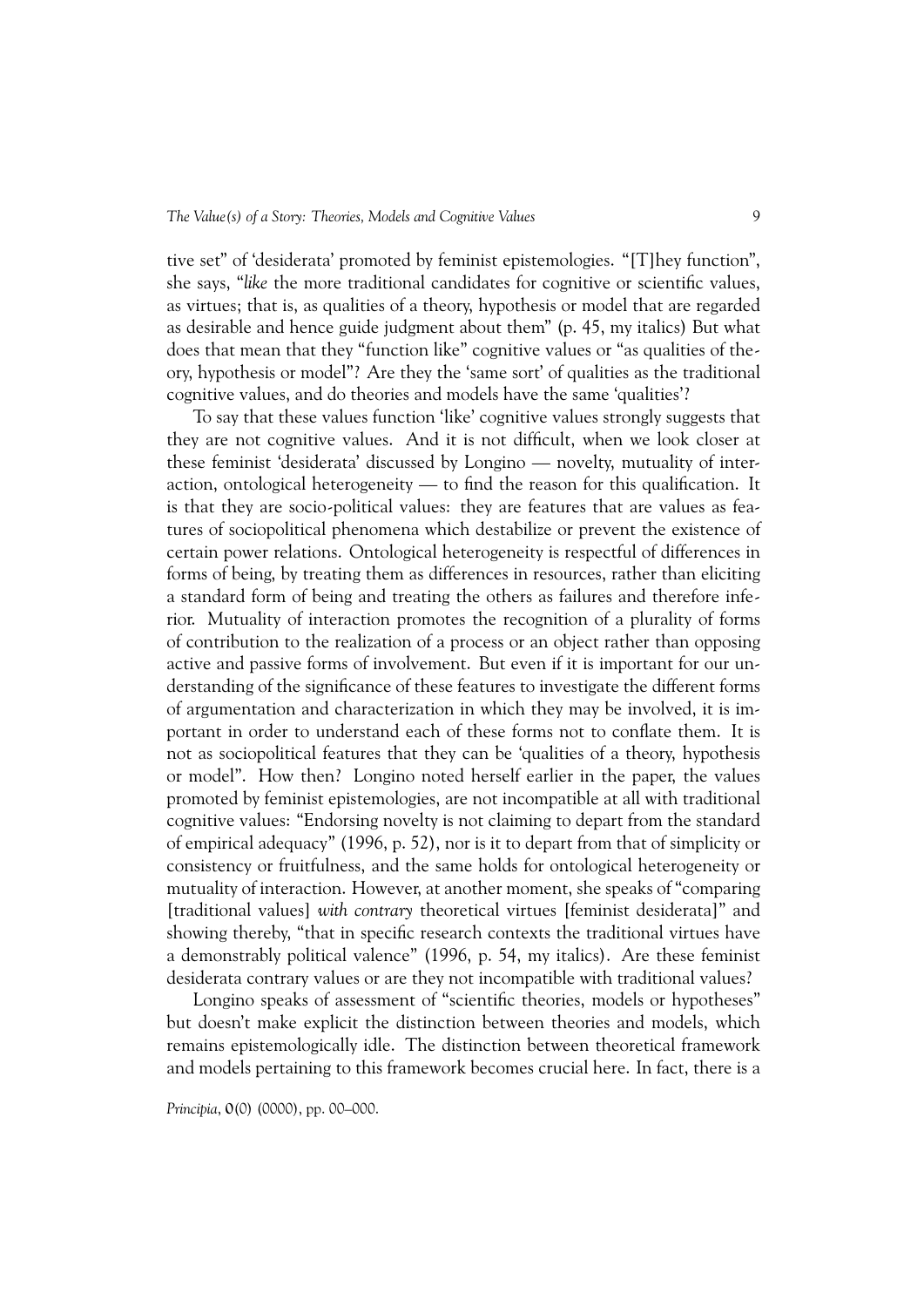tive set" of 'desiderata' promoted by feminist epistemologies. "[T]hey function", she says, "*like* the more traditional candidates for cognitive or scientific values, as virtues; that is, as qualities of a theory, hypothesis or model that are regarded as desirable and hence guide judgment about them" (p. 45, my italics) But what does that mean that they "function like" cognitive values or "as qualities of theory, hypothesis or model"? Are they the 'same sort' of qualities as the traditional cognitive values, and do theories and models have the same 'qualities'?

To say that these values function 'like' cognitive values strongly suggests that they are not cognitive values. And it is not difficult, when we look closer at these feminist 'desiderata' discussed by Longino — novelty, mutuality of interaction, ontological heterogeneity — to find the reason for this qualification. It is that they are socio-political values: they are features that are values as features of sociopolitical phenomena which destabilize or prevent the existence of certain power relations. Ontological heterogeneity is respectful of differences in forms of being, by treating them as differences in resources, rather than eliciting a standard form of being and treating the others as failures and therefore inferior. Mutuality of interaction promotes the recognition of a plurality of forms of contribution to the realization of a process or an object rather than opposing active and passive forms of involvement. But even if it is important for our understanding of the significance of these features to investigate the different forms of argumentation and characterization in which they may be involved, it is important in order to understand each of these forms not to conflate them. It is not as sociopolitical features that they can be 'qualities of a theory, hypothesis or model". How then? Longino noted herself earlier in the paper, the values promoted by feminist epistemologies, are not incompatible at all with traditional cognitive values: "Endorsing novelty is not claiming to depart from the standard of empirical adequacy" (1996, p. 52), nor is it to depart from that of simplicity or consistency or fruitfulness, and the same holds for ontological heterogeneity or mutuality of interaction. However, at another moment, she speaks of "comparing [traditional values] *with contrary* theoretical virtues [feminist desiderata]" and showing thereby, "that in specific research contexts the traditional virtues have a demonstrably political valence" (1996, p. 54, my italics). Are these feminist desiderata contrary values or are they not incompatible with traditional values?

Longino speaks of assessment of "scientific theories, models or hypotheses" but doesn't make explicit the distinction between theories and models, which remains epistemologically idle. The distinction between theoretical framework and models pertaining to this framework becomes crucial here. In fact, there is a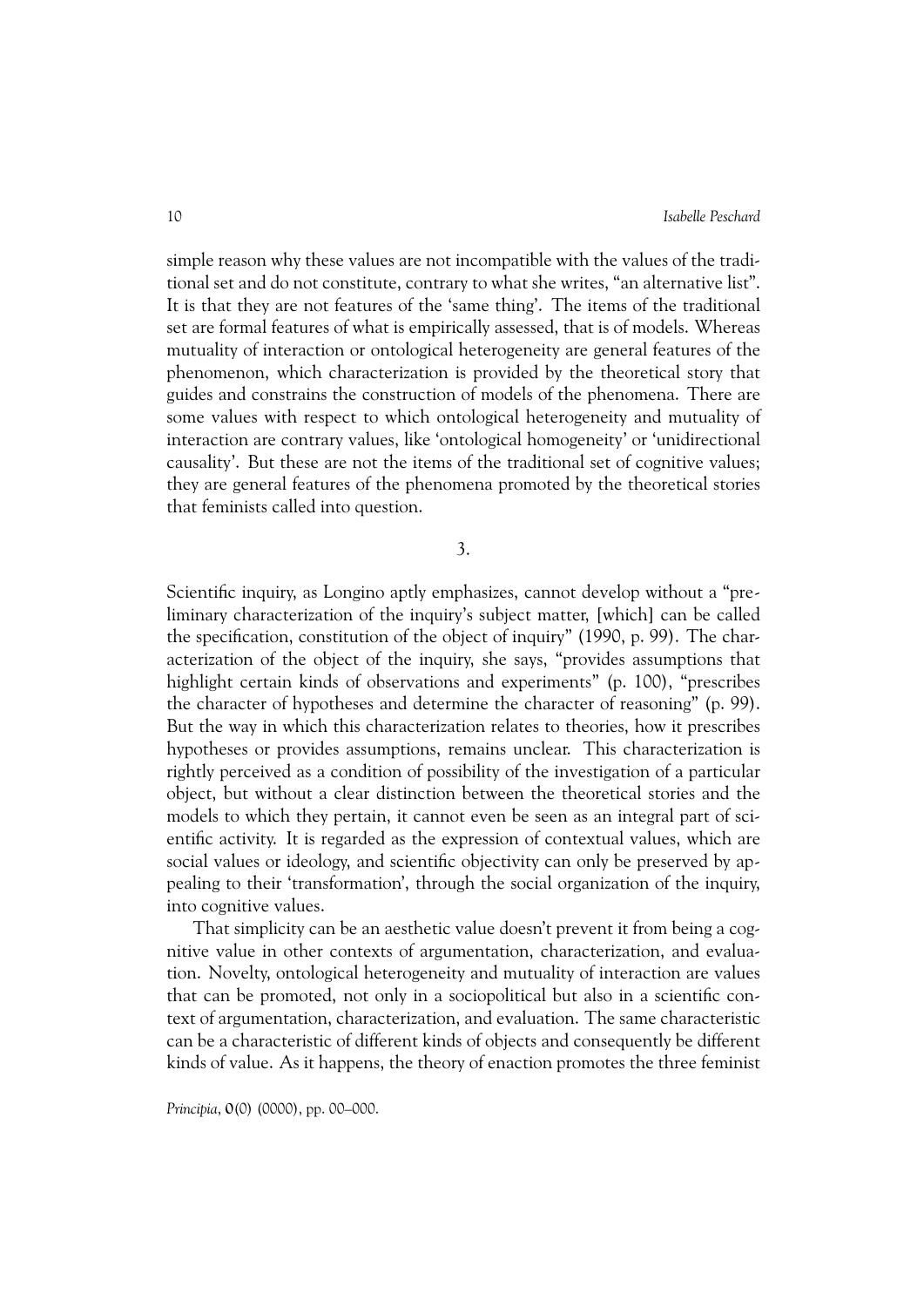simple reason why these values are not incompatible with the values of the traditional set and do not constitute, contrary to what she writes, "an alternative list". It is that they are not features of the 'same thing'. The items of the traditional set are formal features of what is empirically assessed, that is of models. Whereas mutuality of interaction or ontological heterogeneity are general features of the phenomenon, which characterization is provided by the theoretical story that guides and constrains the construction of models of the phenomena. There are some values with respect to which ontological heterogeneity and mutuality of interaction are contrary values, like 'ontological homogeneity' or 'unidirectional causality'. But these are not the items of the traditional set of cognitive values; they are general features of the phenomena promoted by the theoretical stories that feminists called into question.

3.

Scientific inquiry, as Longino aptly emphasizes, cannot develop without a "preliminary characterization of the inquiry's subject matter, [which] can be called the specification, constitution of the object of inquiry" (1990, p. 99). The characterization of the object of the inquiry, she says, "provides assumptions that highlight certain kinds of observations and experiments" (p. 100), "prescribes the character of hypotheses and determine the character of reasoning" (p. 99). But the way in which this characterization relates to theories, how it prescribes hypotheses or provides assumptions, remains unclear. This characterization is rightly perceived as a condition of possibility of the investigation of a particular object, but without a clear distinction between the theoretical stories and the models to which they pertain, it cannot even be seen as an integral part of scientific activity. It is regarded as the expression of contextual values, which are social values or ideology, and scientific objectivity can only be preserved by appealing to their 'transformation', through the social organization of the inquiry, into cognitive values.

That simplicity can be an aesthetic value doesn't prevent it from being a cognitive value in other contexts of argumentation, characterization, and evaluation. Novelty, ontological heterogeneity and mutuality of interaction are values that can be promoted, not only in a sociopolitical but also in a scientific context of argumentation, characterization, and evaluation. The same characteristic can be a characteristic of different kinds of objects and consequently be different kinds of value. As it happens, the theory of enaction promotes the three feminist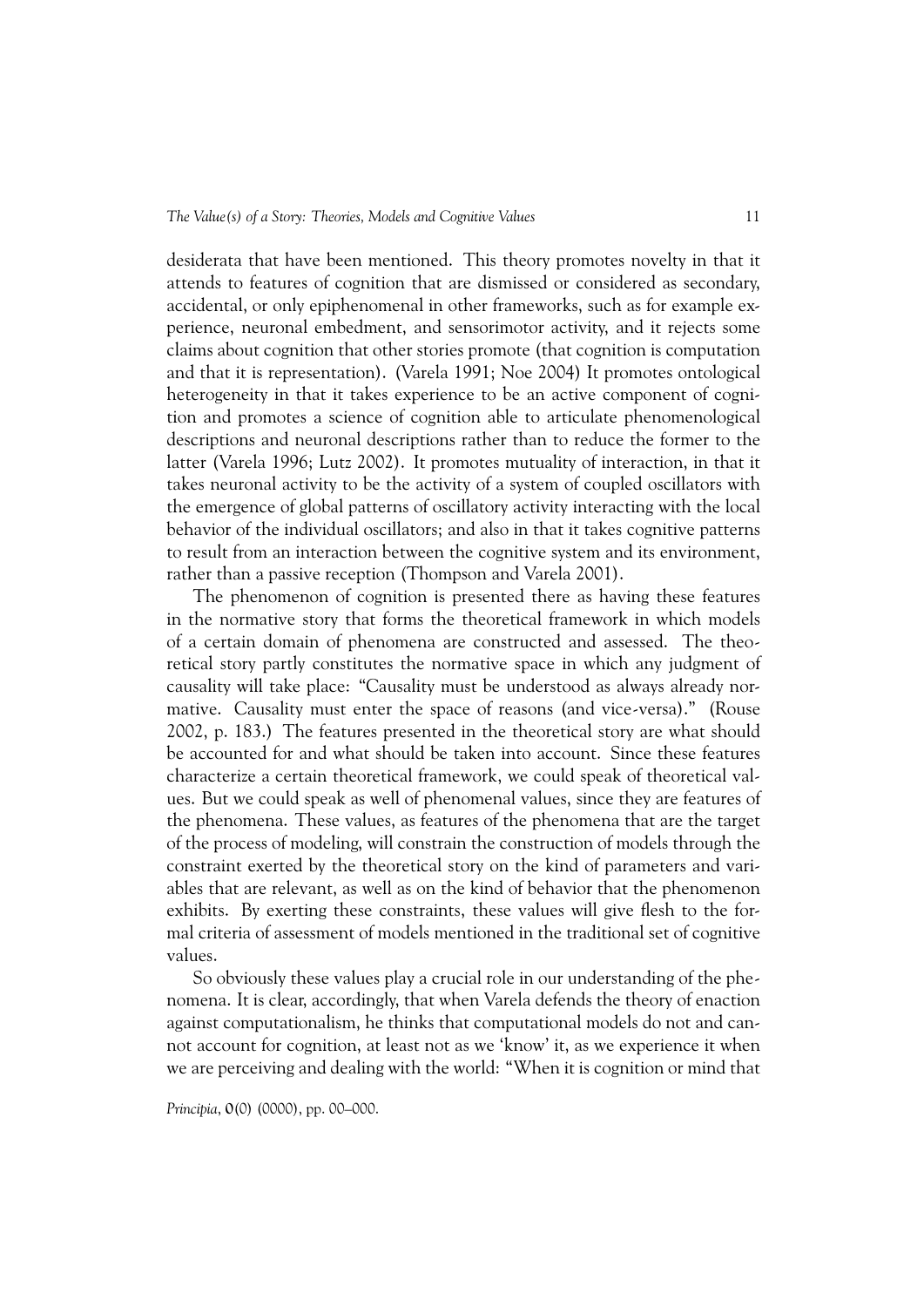desiderata that have been mentioned. This theory promotes novelty in that it attends to features of cognition that are dismissed or considered as secondary, accidental, or only epiphenomenal in other frameworks, such as for example experience, neuronal embedment, and sensorimotor activity, and it rejects some claims about cognition that other stories promote (that cognition is computation and that it is representation). (Varela 1991; Noe 2004) It promotes ontological heterogeneity in that it takes experience to be an active component of cognition and promotes a science of cognition able to articulate phenomenological descriptions and neuronal descriptions rather than to reduce the former to the latter (Varela 1996; Lutz 2002). It promotes mutuality of interaction, in that it takes neuronal activity to be the activity of a system of coupled oscillators with the emergence of global patterns of oscillatory activity interacting with the local behavior of the individual oscillators; and also in that it takes cognitive patterns to result from an interaction between the cognitive system and its environment, rather than a passive reception (Thompson and Varela 2001).

The phenomenon of cognition is presented there as having these features in the normative story that forms the theoretical framework in which models of a certain domain of phenomena are constructed and assessed. The theoretical story partly constitutes the normative space in which any judgment of causality will take place: "Causality must be understood as always already normative. Causality must enter the space of reasons (and vice-versa)." (Rouse 2002, p. 183.) The features presented in the theoretical story are what should be accounted for and what should be taken into account. Since these features characterize a certain theoretical framework, we could speak of theoretical values. But we could speak as well of phenomenal values, since they are features of the phenomena. These values, as features of the phenomena that are the target of the process of modeling, will constrain the construction of models through the constraint exerted by the theoretical story on the kind of parameters and variables that are relevant, as well as on the kind of behavior that the phenomenon exhibits. By exerting these constraints, these values will give flesh to the formal criteria of assessment of models mentioned in the traditional set of cognitive values.

So obviously these values play a crucial role in our understanding of the phenomena. It is clear, accordingly, that when Varela defends the theory of enaction against computationalism, he thinks that computational models do not and cannot account for cognition, at least not as we 'know' it, as we experience it when we are perceiving and dealing with the world: "When it is cognition or mind that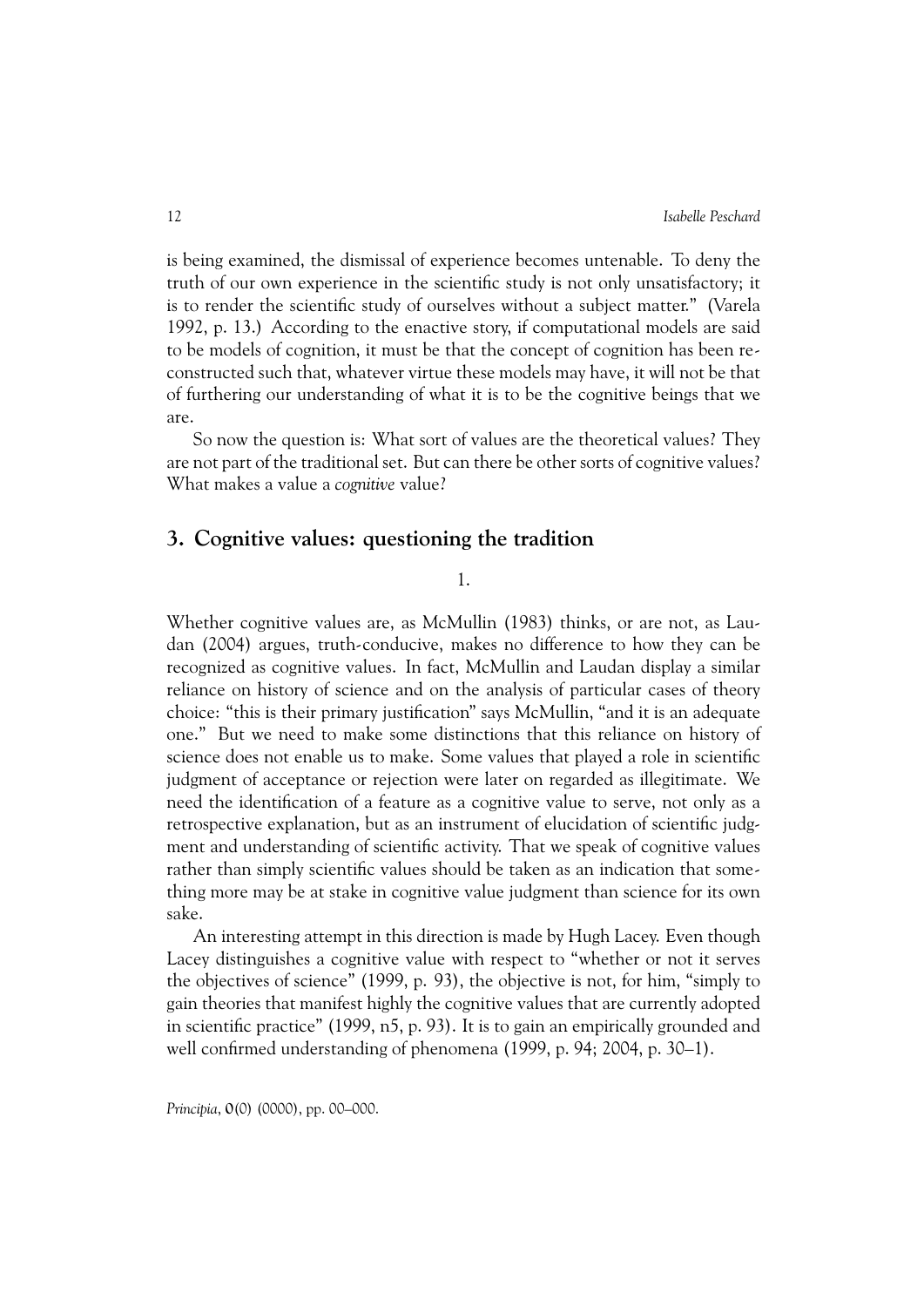is being examined, the dismissal of experience becomes untenable. To deny the truth of our own experience in the scientific study is not only unsatisfactory; it is to render the scientific study of ourselves without a subject matter." (Varela 1992, p. 13.) According to the enactive story, if computational models are said to be models of cognition, it must be that the concept of cognition has been reconstructed such that, whatever virtue these models may have, it will not be that of furthering our understanding of what it is to be the cognitive beings that we are.

So now the question is: What sort of values are the theoretical values? They are not part of the traditional set. But can there be other sorts of cognitive values? What makes a value a *cognitive* value?

#### **3. Cognitive values: questioning the tradition**

1.

Whether cognitive values are, as McMullin (1983) thinks, or are not, as Laudan (2004) argues, truth-conducive, makes no difference to how they can be recognized as cognitive values. In fact, McMullin and Laudan display a similar reliance on history of science and on the analysis of particular cases of theory choice: "this is their primary justification" says McMullin, "and it is an adequate one." But we need to make some distinctions that this reliance on history of science does not enable us to make. Some values that played a role in scientific judgment of acceptance or rejection were later on regarded as illegitimate. We need the identification of a feature as a cognitive value to serve, not only as a retrospective explanation, but as an instrument of elucidation of scientific judgment and understanding of scientific activity. That we speak of cognitive values rather than simply scientific values should be taken as an indication that something more may be at stake in cognitive value judgment than science for its own sake.

An interesting attempt in this direction is made by Hugh Lacey. Even though Lacey distinguishes a cognitive value with respect to "whether or not it serves the objectives of science" (1999, p. 93), the objective is not, for him, "simply to gain theories that manifest highly the cognitive values that are currently adopted in scientific practice" (1999, n5, p. 93). It is to gain an empirically grounded and well confirmed understanding of phenomena (1999, p. 94; 2004, p. 30–1).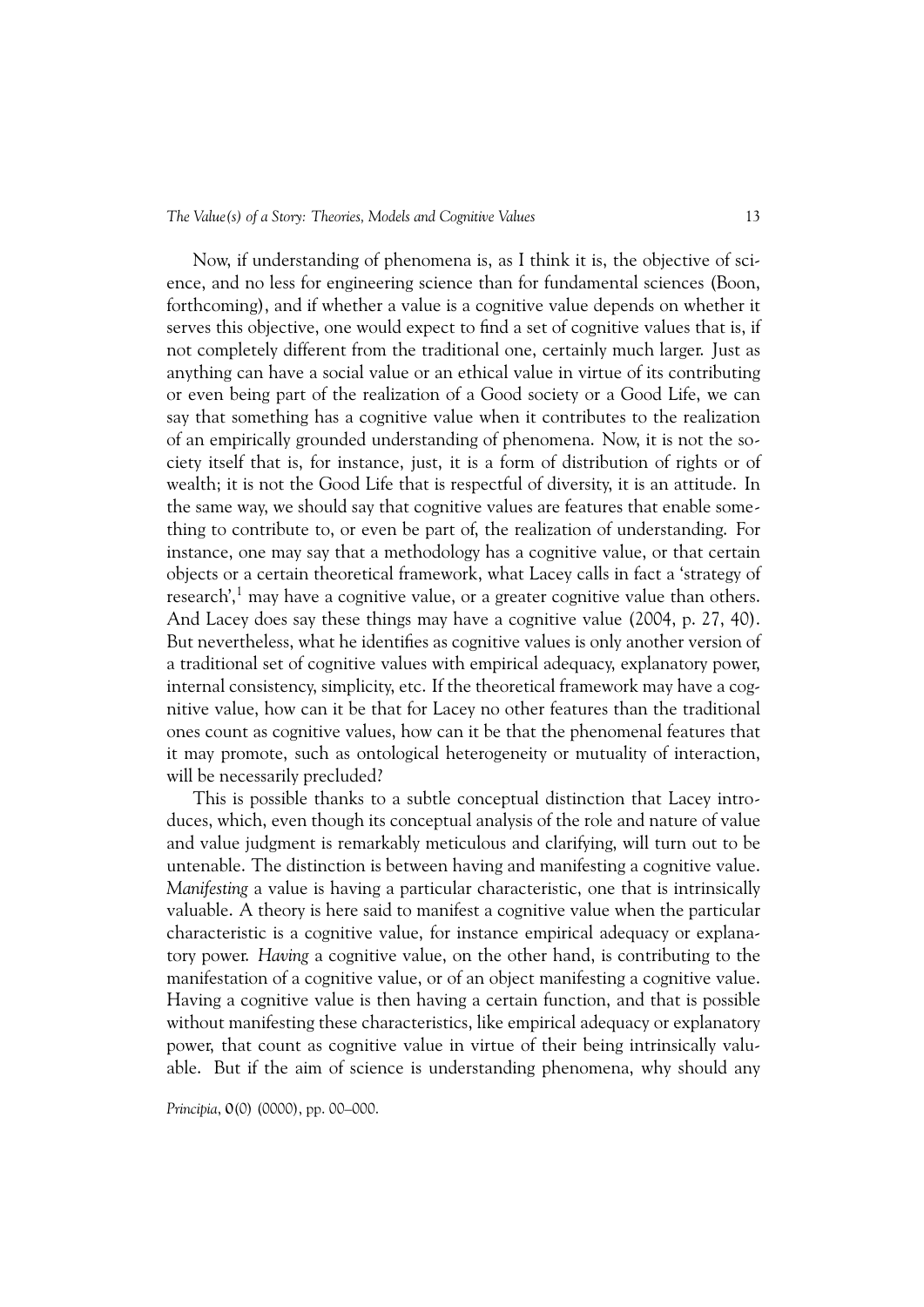*The Value(s) of a Story: Theories, Models and Cognitive Values* 13

Now, if understanding of phenomena is, as I think it is, the objective of science, and no less for engineering science than for fundamental sciences (Boon, forthcoming), and if whether a value is a cognitive value depends on whether it serves this objective, one would expect to find a set of cognitive values that is, if not completely different from the traditional one, certainly much larger. Just as anything can have a social value or an ethical value in virtue of its contributing or even being part of the realization of a Good society or a Good Life, we can say that something has a cognitive value when it contributes to the realization of an empirically grounded understanding of phenomena. Now, it is not the society itself that is, for instance, just, it is a form of distribution of rights or of wealth; it is not the Good Life that is respectful of diversity, it is an attitude. In the same way, we should say that cognitive values are features that enable something to contribute to, or even be part of, the realization of understanding. For instance, one may say that a methodology has a cognitive value, or that certain objects or a certain theoretical framework, what Lacey calls in fact a 'strategy of research',<sup>1</sup> may have a cognitive value, or a greater cognitive value than others. And Lacey does say these things may have a cognitive value (2004, p. 27, 40). But nevertheless, what he identifies as cognitive values is only another version of a traditional set of cognitive values with empirical adequacy, explanatory power, internal consistency, simplicity, etc. If the theoretical framework may have a cognitive value, how can it be that for Lacey no other features than the traditional ones count as cognitive values, how can it be that the phenomenal features that it may promote, such as ontological heterogeneity or mutuality of interaction, will be necessarily precluded?

This is possible thanks to a subtle conceptual distinction that Lacey introduces, which, even though its conceptual analysis of the role and nature of value and value judgment is remarkably meticulous and clarifying, will turn out to be untenable. The distinction is between having and manifesting a cognitive value. *Manifesting* a value is having a particular characteristic, one that is intrinsically valuable. A theory is here said to manifest a cognitive value when the particular characteristic is a cognitive value, for instance empirical adequacy or explanatory power. *Having* a cognitive value, on the other hand, is contributing to the manifestation of a cognitive value, or of an object manifesting a cognitive value. Having a cognitive value is then having a certain function, and that is possible without manifesting these characteristics, like empirical adequacy or explanatory power, that count as cognitive value in virtue of their being intrinsically valuable. But if the aim of science is understanding phenomena, why should any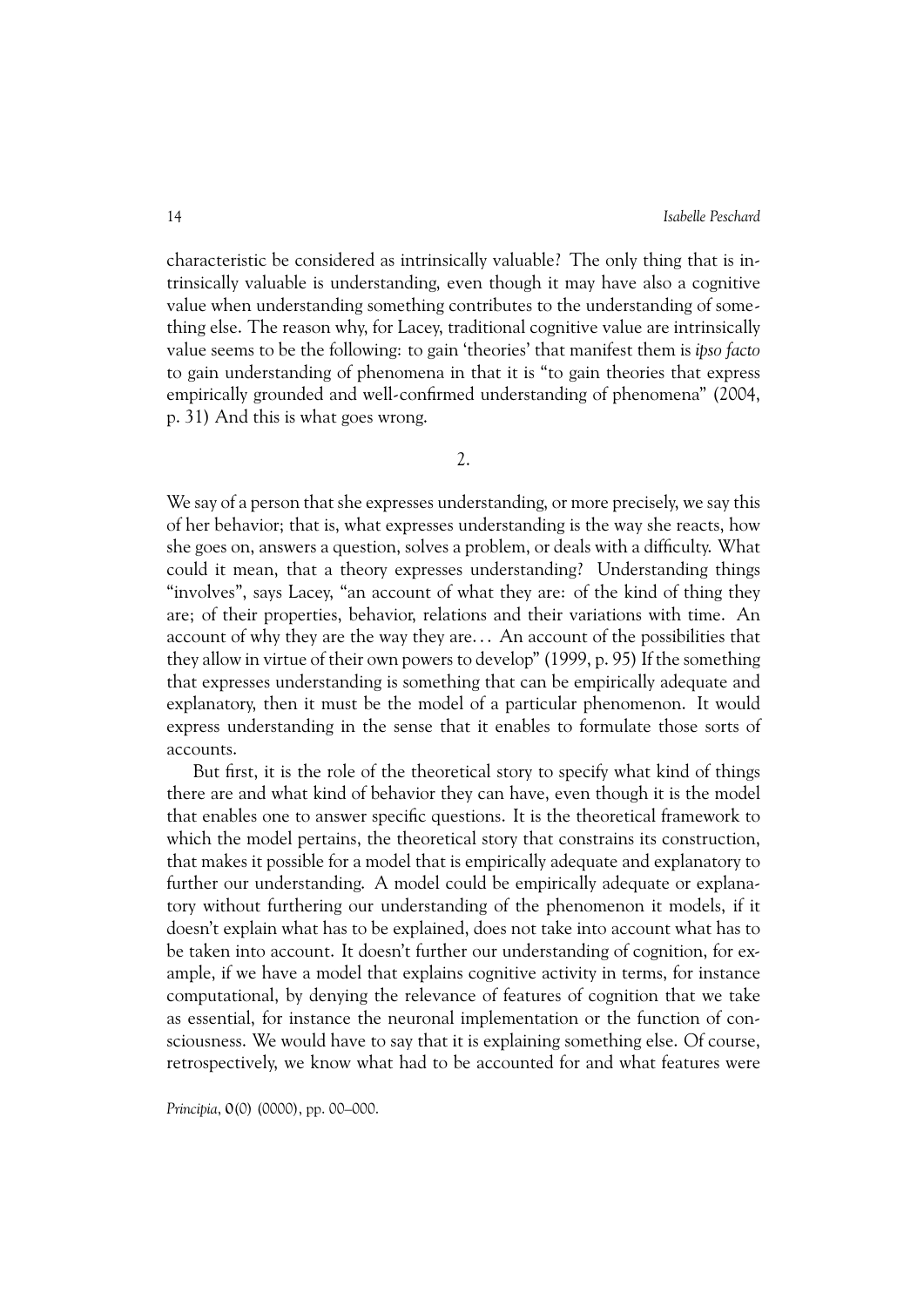characteristic be considered as intrinsically valuable? The only thing that is intrinsically valuable is understanding, even though it may have also a cognitive value when understanding something contributes to the understanding of something else. The reason why, for Lacey, traditional cognitive value are intrinsically value seems to be the following: to gain 'theories' that manifest them is *ipso facto* to gain understanding of phenomena in that it is "to gain theories that express empirically grounded and well-confirmed understanding of phenomena" (2004, p. 31) And this is what goes wrong.

2.

We say of a person that she expresses understanding, or more precisely, we say this of her behavior; that is, what expresses understanding is the way she reacts, how she goes on, answers a question, solves a problem, or deals with a difficulty. What could it mean, that a theory expresses understanding? Understanding things "involves", says Lacey, "an account of what they are: of the kind of thing they are; of their properties, behavior, relations and their variations with time. An account of why they are the way they are... An account of the possibilities that they allow in virtue of their own powers to develop" (1999, p. 95) If the something that expresses understanding is something that can be empirically adequate and explanatory, then it must be the model of a particular phenomenon. It would express understanding in the sense that it enables to formulate those sorts of accounts.

But first, it is the role of the theoretical story to specify what kind of things there are and what kind of behavior they can have, even though it is the model that enables one to answer specific questions. It is the theoretical framework to which the model pertains, the theoretical story that constrains its construction, that makes it possible for a model that is empirically adequate and explanatory to further our understanding. A model could be empirically adequate or explanatory without furthering our understanding of the phenomenon it models, if it doesn't explain what has to be explained, does not take into account what has to be taken into account. It doesn't further our understanding of cognition, for example, if we have a model that explains cognitive activity in terms, for instance computational, by denying the relevance of features of cognition that we take as essential, for instance the neuronal implementation or the function of consciousness. We would have to say that it is explaining something else. Of course, retrospectively, we know what had to be accounted for and what features were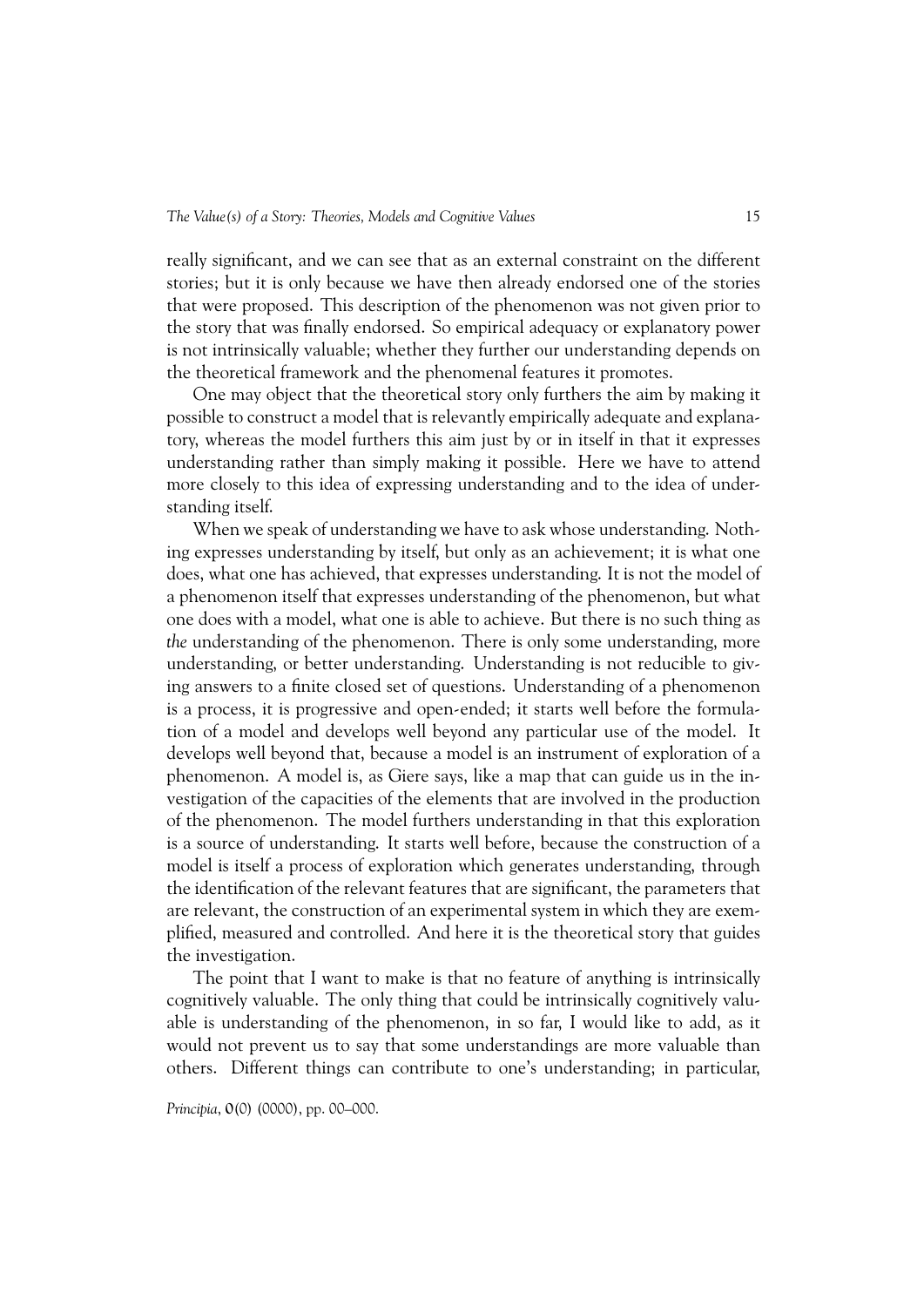really significant, and we can see that as an external constraint on the different stories; but it is only because we have then already endorsed one of the stories that were proposed. This description of the phenomenon was not given prior to the story that was finally endorsed. So empirical adequacy or explanatory power is not intrinsically valuable; whether they further our understanding depends on the theoretical framework and the phenomenal features it promotes.

One may object that the theoretical story only furthers the aim by making it possible to construct a model that is relevantly empirically adequate and explanatory, whereas the model furthers this aim just by or in itself in that it expresses understanding rather than simply making it possible. Here we have to attend more closely to this idea of expressing understanding and to the idea of understanding itself.

When we speak of understanding we have to ask whose understanding. Nothing expresses understanding by itself, but only as an achievement; it is what one does, what one has achieved, that expresses understanding. It is not the model of a phenomenon itself that expresses understanding of the phenomenon, but what one does with a model, what one is able to achieve. But there is no such thing as *the* understanding of the phenomenon. There is only some understanding, more understanding, or better understanding. Understanding is not reducible to giving answers to a finite closed set of questions. Understanding of a phenomenon is a process, it is progressive and open-ended; it starts well before the formulation of a model and develops well beyond any particular use of the model. It develops well beyond that, because a model is an instrument of exploration of a phenomenon. A model is, as Giere says, like a map that can guide us in the investigation of the capacities of the elements that are involved in the production of the phenomenon. The model furthers understanding in that this exploration is a source of understanding. It starts well before, because the construction of a model is itself a process of exploration which generates understanding, through the identification of the relevant features that are significant, the parameters that are relevant, the construction of an experimental system in which they are exemplified, measured and controlled. And here it is the theoretical story that guides the investigation.

The point that I want to make is that no feature of anything is intrinsically cognitively valuable. The only thing that could be intrinsically cognitively valuable is understanding of the phenomenon, in so far, I would like to add, as it would not prevent us to say that some understandings are more valuable than others. Different things can contribute to one's understanding; in particular,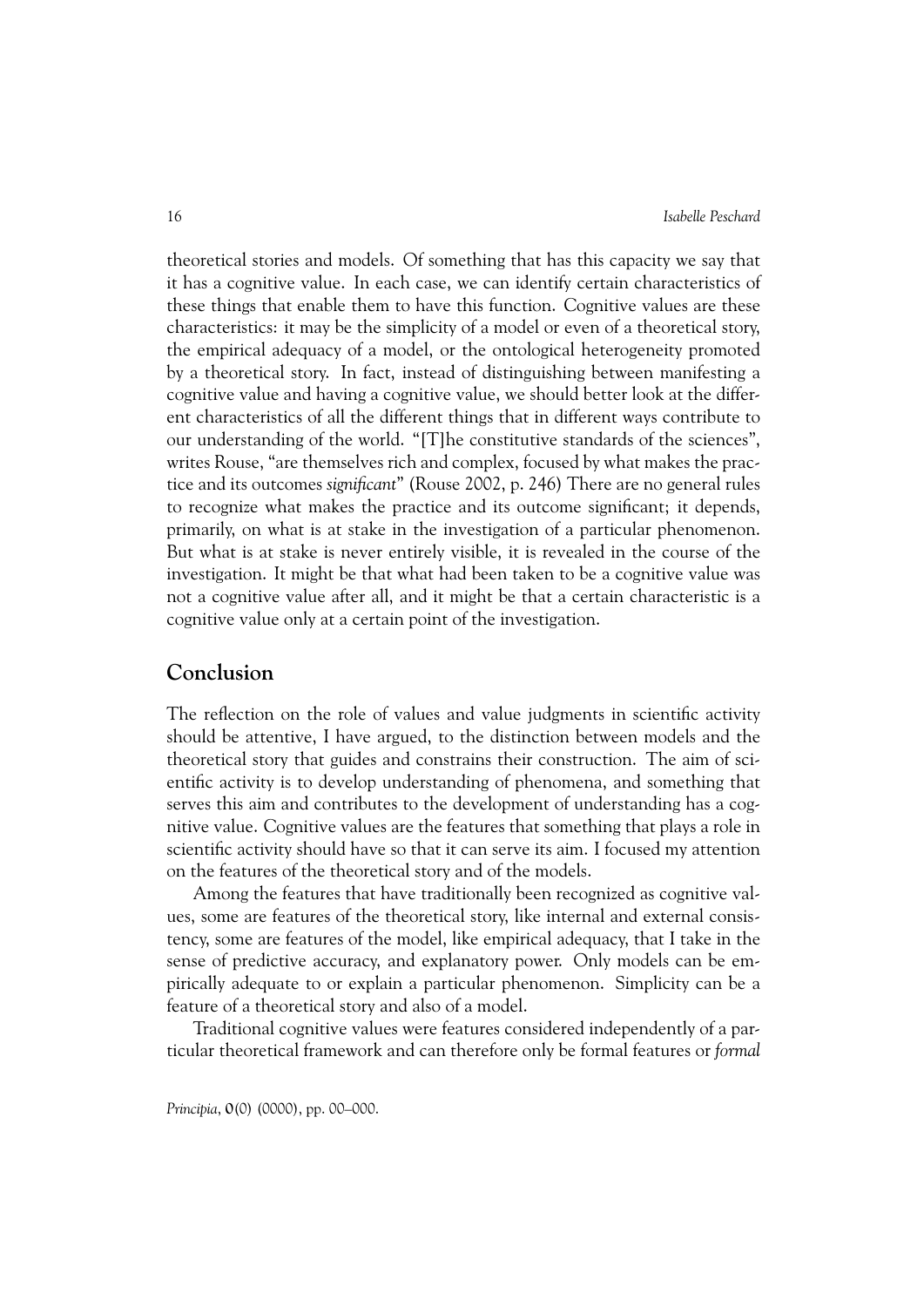theoretical stories and models. Of something that has this capacity we say that it has a cognitive value. In each case, we can identify certain characteristics of these things that enable them to have this function. Cognitive values are these characteristics: it may be the simplicity of a model or even of a theoretical story, the empirical adequacy of a model, or the ontological heterogeneity promoted by a theoretical story. In fact, instead of distinguishing between manifesting a cognitive value and having a cognitive value, we should better look at the different characteristics of all the different things that in different ways contribute to our understanding of the world. "[T]he constitutive standards of the sciences", writes Rouse, "are themselves rich and complex, focused by what makes the practice and its outcomes *significant*" (Rouse 2002, p. 246) There are no general rules to recognize what makes the practice and its outcome significant; it depends, primarily, on what is at stake in the investigation of a particular phenomenon. But what is at stake is never entirely visible, it is revealed in the course of the investigation. It might be that what had been taken to be a cognitive value was not a cognitive value after all, and it might be that a certain characteristic is a cognitive value only at a certain point of the investigation.

### **Conclusion**

The reflection on the role of values and value judgments in scientific activity should be attentive, I have argued, to the distinction between models and the theoretical story that guides and constrains their construction. The aim of scientific activity is to develop understanding of phenomena, and something that serves this aim and contributes to the development of understanding has a cognitive value. Cognitive values are the features that something that plays a role in scientific activity should have so that it can serve its aim. I focused my attention on the features of the theoretical story and of the models.

Among the features that have traditionally been recognized as cognitive values, some are features of the theoretical story, like internal and external consistency, some are features of the model, like empirical adequacy, that I take in the sense of predictive accuracy, and explanatory power. Only models can be empirically adequate to or explain a particular phenomenon. Simplicity can be a feature of a theoretical story and also of a model.

Traditional cognitive values were features considered independently of a particular theoretical framework and can therefore only be formal features or *formal*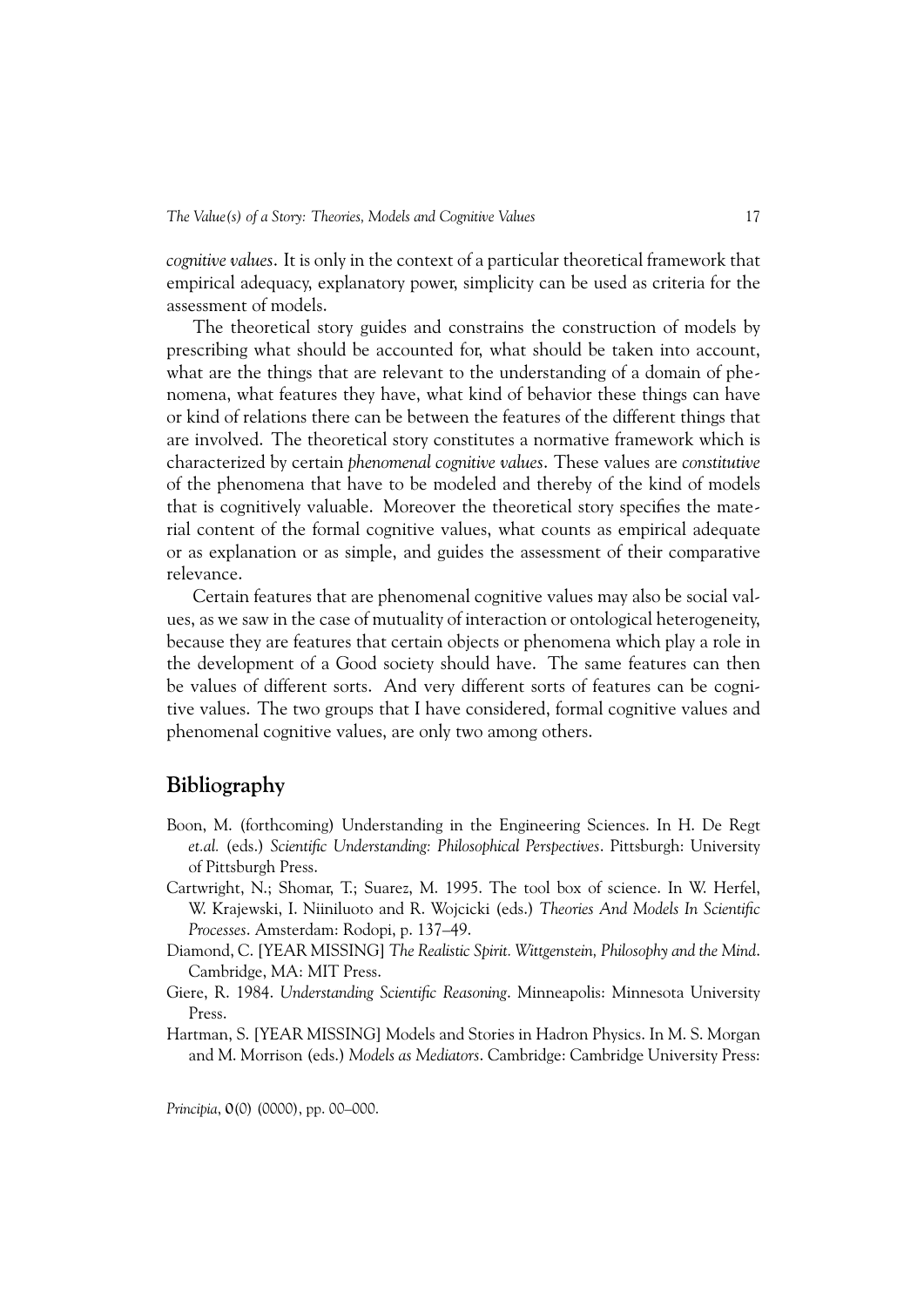*cognitive values*. It is only in the context of a particular theoretical framework that empirical adequacy, explanatory power, simplicity can be used as criteria for the assessment of models.

The theoretical story guides and constrains the construction of models by prescribing what should be accounted for, what should be taken into account, what are the things that are relevant to the understanding of a domain of phenomena, what features they have, what kind of behavior these things can have or kind of relations there can be between the features of the different things that are involved. The theoretical story constitutes a normative framework which is characterized by certain *phenomenal cognitive values*. These values are *constitutive* of the phenomena that have to be modeled and thereby of the kind of models that is cognitively valuable. Moreover the theoretical story specifies the material content of the formal cognitive values, what counts as empirical adequate or as explanation or as simple, and guides the assessment of their comparative relevance.

Certain features that are phenomenal cognitive values may also be social values, as we saw in the case of mutuality of interaction or ontological heterogeneity, because they are features that certain objects or phenomena which play a role in the development of a Good society should have. The same features can then be values of different sorts. And very different sorts of features can be cognitive values. The two groups that I have considered, formal cognitive values and phenomenal cognitive values, are only two among others.

## **Bibliography**

- Boon, M. (forthcoming) Understanding in the Engineering Sciences. In H. De Regt *et.al.* (eds.) *Scientific Understanding: Philosophical Perspectives*. Pittsburgh: University of Pittsburgh Press.
- Cartwright, N.; Shomar, T.; Suarez, M. 1995. The tool box of science. In W. Herfel, W. Krajewski, I. Niiniluoto and R. Wojcicki (eds.) *Theories And Models In Scientific Processes*. Amsterdam: Rodopi, p. 137–49.
- Diamond, C. [YEAR MISSING] *The Realistic Spirit. Wittgenstein, Philosophy and the Mind*. Cambridge, MA: MIT Press.
- Giere, R. 1984. *Understanding Scientific Reasoning*. Minneapolis: Minnesota University Press.
- Hartman, S. [YEAR MISSING] Models and Stories in Hadron Physics. In M. S. Morgan and M. Morrison (eds.) *Models as Mediators*. Cambridge: Cambridge University Press: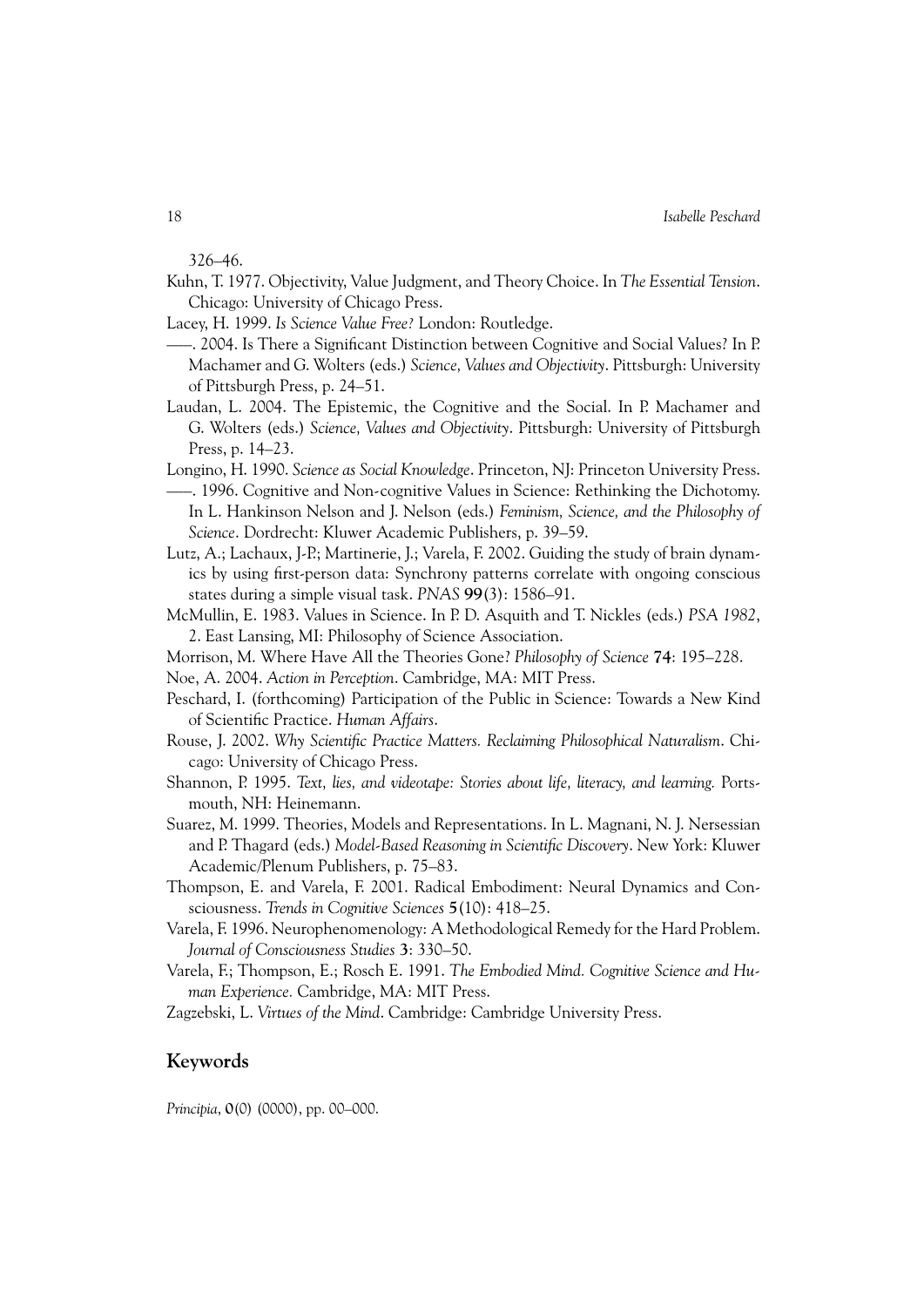326–46.

- Kuhn, T. 1977. Objectivity, Value Judgment, and Theory Choice. In *The Essential Tension*. Chicago: University of Chicago Press.
- Lacey, H. 1999. *Is Science Value Free?* London: Routledge.
- —–. 2004. Is There a Significant Distinction between Cognitive and Social Values? In P. Machamer and G. Wolters (eds.) *Science, Values and Objectivity*. Pittsburgh: University of Pittsburgh Press, p. 24–51.
- Laudan, L. 2004. The Epistemic, the Cognitive and the Social. In P. Machamer and G. Wolters (eds.) *Science, Values and Objectivity*. Pittsburgh: University of Pittsburgh Press, p. 14–23.
- Longino, H. 1990. *Science as Social Knowledge*. Princeton, NJ: Princeton University Press. —–. 1996. Cognitive and Non-cognitive Values in Science: Rethinking the Dichotomy. In L. Hankinson Nelson and J. Nelson (eds.) *Feminism, Science, and the Philosophy of Science*. Dordrecht: Kluwer Academic Publishers, p. 39–59.
- Lutz, A.; Lachaux, J-P.; Martinerie, J.; Varela, F. 2002. Guiding the study of brain dynamics by using first-person data: Synchrony patterns correlate with ongoing conscious states during a simple visual task. *PNAS* **99**(3): 1586–91.
- McMullin, E. 1983. Values in Science. In P. D. Asquith and T. Nickles (eds.) *PSA 1982*, 2. East Lansing, MI: Philosophy of Science Association.
- Morrison, M. Where Have All the Theories Gone? *Philosophy of Science* **74**: 195–228.
- Noe, A. 2004. *Action in Perception*. Cambridge, MA: MIT Press.
- Peschard, I. (forthcoming) Participation of the Public in Science: Towards a New Kind of Scientific Practice. *Human Affairs*.
- Rouse, J. 2002. *Why Scientific Practice Matters. Reclaiming Philosophical Naturalism*. Chicago: University of Chicago Press.
- Shannon, P. 1995. *Text, lies, and videotape: Stories about life, literacy, and learning.* Portsmouth, NH: Heinemann.
- Suarez, M. 1999. Theories, Models and Representations. In L. Magnani, N. J. Nersessian and P. Thagard (eds.) *Model-Based Reasoning in Scientific Discovery*. New York: Kluwer Academic/Plenum Publishers, p. 75–83.
- Thompson, E. and Varela, F. 2001. Radical Embodiment: Neural Dynamics and Consciousness. *Trends in Cognitive Sciences* **5**(10): 418–25.
- Varela, F. 1996. Neurophenomenology: A Methodological Remedy for the Hard Problem. *Journal of Consciousness Studies* **3**: 330–50.
- Varela, F.; Thompson, E.; Rosch E. 1991. *The Embodied Mind. Cognitive Science and Human Experience.* Cambridge, MA: MIT Press.
- Zagzebski, L. *Virtues of the Mind*. Cambridge: Cambridge University Press.

#### **Keywords**